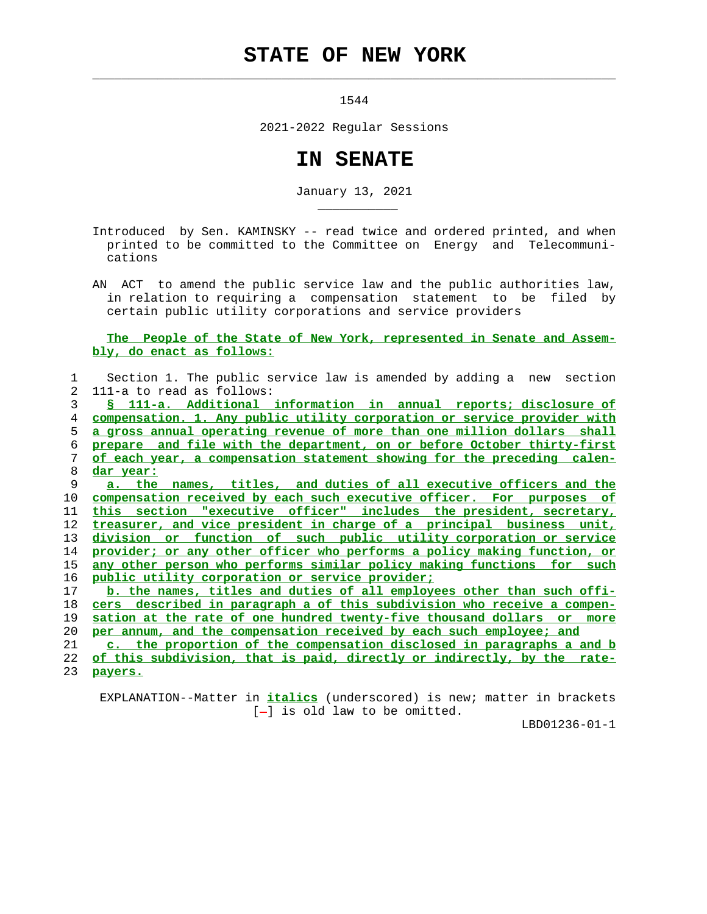## **STATE OF NEW YORK**

 $\mathcal{L}_\text{max} = \frac{1}{2} \sum_{i=1}^{n} \frac{1}{2} \sum_{i=1}^{n} \frac{1}{2} \sum_{i=1}^{n} \frac{1}{2} \sum_{i=1}^{n} \frac{1}{2} \sum_{i=1}^{n} \frac{1}{2} \sum_{i=1}^{n} \frac{1}{2} \sum_{i=1}^{n} \frac{1}{2} \sum_{i=1}^{n} \frac{1}{2} \sum_{i=1}^{n} \frac{1}{2} \sum_{i=1}^{n} \frac{1}{2} \sum_{i=1}^{n} \frac{1}{2} \sum_{i=1}^{n} \frac{1$ 

\_\_\_\_\_\_\_\_\_\_\_

1544

2021-2022 Regular Sessions

## **IN SENATE**

January 13, 2021

 Introduced by Sen. KAMINSKY -- read twice and ordered printed, and when printed to be committed to the Committee on Energy and Telecommuni cations

 AN ACT to amend the public service law and the public authorities law, in relation to requiring a compensation statement to be filed by certain public utility corporations and service providers

## **The People of the State of New York, represented in Senate and Assem bly, do enact as follows:**

| 1  | Section 1. The public service law is amended by adding a new<br>section       |
|----|-------------------------------------------------------------------------------|
| 2  | 111-a to read as follows:                                                     |
| 3  | § 111-a. Additional information in annual reports; disclosure of              |
| 4  | compensation. 1. Any public utility corporation or service provider with      |
| 5  | a gross annual operating revenue of more than one million dollars shall       |
| 6  | prepare and file with the department, on or before October thirty-first       |
| 7  | of each year, a compensation statement showing for the preceding calen-       |
| 8  | dar year:                                                                     |
| 9  | a. the names, titles, and duties of all executive officers and the            |
| 10 | compensation received by each such executive officer. For purposes of         |
| 11 | this section "executive officer" includes the president, secretary,           |
| 12 | treasurer, and vice president in charge of a principal business unit,         |
| 13 | division or function of such public utility corporation or service            |
| 14 | provider; or any other officer who performs a policy making function, or      |
| 15 | <u>any other person who performs similar policy making functions for such</u> |
| 16 | public utility corporation or service provider;                               |
| 17 | b. the names, titles and duties of all employees other than such offi-        |
| 18 | cers described in paragraph a of this subdivision who receive a compen-       |
| 19 | sation at the rate of one hundred twenty-five thousand dollars or<br>more     |
| 20 | per annum, and the compensation received by each such employee; and           |
| 21 | c. the proportion of the compensation disclosed in paragraphs a and b         |
| 22 | of this subdivision, that is paid, directly or indirectly, by the rate-       |
| 23 | payers.                                                                       |

 EXPLANATION--Matter in **italics** (underscored) is new; matter in brackets [-] is old law to be omitted.

LBD01236-01-1